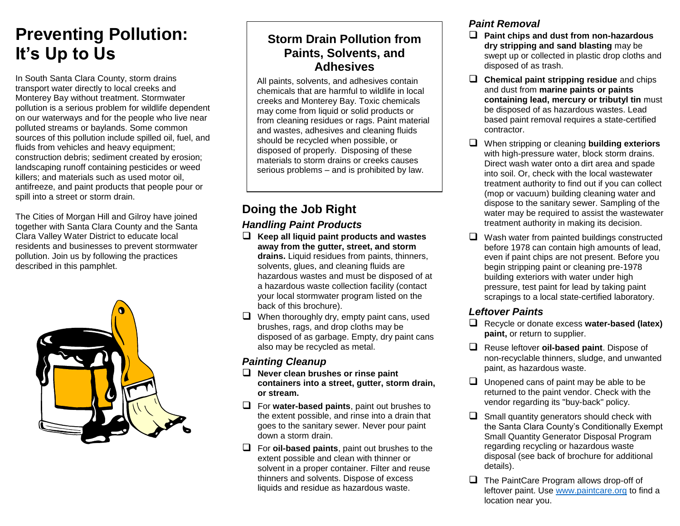# **Preventing Pollution: It's Up to Us**

In South Santa Clara County, storm drains transport water directly to local creeks and Monterey Bay without treatment. Stormwater pollution is a serious problem for wildlife dependent on our waterways and for the people who live near polluted streams or baylands. Some common sources of this pollution include spilled oil, fuel, and fluids from vehicles and heavy equipment; construction debris; sediment created by erosion; landscaping runoff containing pesticides or weed killers; and materials such as used motor oil, antifreeze, and paint products that people pour or spill into a street or storm drain.

The Cities of Morgan Hill and Gilroy have joined together with Santa Clara County and the Santa Clara Valley Water District to educate local residents and businesses to prevent stormwater pollution. Join us by following the practices described in this pamphlet.



# **Storm Drain Pollution from Paints, Solvents, and Adhesives**

All paints, solvents, and adhesives contain chemicals that are harmful to wildlife in local creeks and Monterey Bay. Toxic chemicals may come from liquid or solid products or from cleaning residues or rags. Paint material and wastes, adhesives and cleaning fluids should be recycled when possible, or disposed of properly. Disposing of these materials to storm drains or creeks causes serious problems – and is prohibited by law.

# **Doing the Job Right**

## *Handling Paint Products*

- **Keep all liquid paint products and wastes away from the gutter, street, and storm drains.** Liquid residues from paints, thinners, solvents, glues, and cleaning fluids are hazardous wastes and must be disposed of at a hazardous waste collection facility (contact your local stormwater program listed on the back of this brochure).
- $\Box$  When thoroughly dry, empty paint cans, used brushes, rags, and drop cloths may be disposed of as garbage. Empty, dry paint cans also may be recycled as metal.

## *Painting Cleanup*

- **Never clean brushes or rinse paint containers into a street, gutter, storm drain, or stream.**
- For **water-based paints**, paint out brushes to the extent possible, and rinse into a drain that goes to the sanitary sewer. Never pour paint down a storm drain.
- For **oil-based paints**, paint out brushes to the extent possible and clean with thinner or solvent in a proper container. Filter and reuse thinners and solvents. Dispose of excess liquids and residue as hazardous waste.

# *Paint Removal*

- **Paint chips and dust from non-hazardous dry stripping and sand blasting** may be swept up or collected in plastic drop cloths and disposed of as trash.
- **Chemical paint stripping residue** and chips and dust from **marine paints or paints containing lead, mercury or tributyl tin** must be disposed of as hazardous wastes. Lead based paint removal requires a state-certified contractor.
- When stripping or cleaning **building exteriors** with high-pressure water, block storm drains. Direct wash water onto a dirt area and spade into soil. Or, check with the local wastewater treatment authority to find out if you can collect (mop or vacuum) building cleaning water and dispose to the sanitary sewer. Sampling of the water may be required to assist the wastewater treatment authority in making its decision.
- $\Box$  Wash water from painted buildings constructed before 1978 can contain high amounts of lead, even if paint chips are not present. Before you begin stripping paint or cleaning pre-1978 building exteriors with water under high pressure, test paint for lead by taking paint scrapings to a local state-certified laboratory.

# *Leftover Paints*

- Recycle or donate excess **water-based (latex) paint,** or return to supplier.
- Reuse leftover **oil-based paint**. Dispose of non-recyclable thinners, sludge, and unwanted paint, as hazardous waste.
- $\Box$  Unopened cans of paint may be able to be returned to the paint vendor. Check with the vendor regarding its "buy-back" policy.
- $\Box$  Small quantity generators should check with the Santa Clara County's Conditionally Exempt Small Quantity Generator Disposal Program regarding recycling or hazardous waste disposal (see back of brochure for additional details).
- $\Box$  The PaintCare Program allows drop-off of leftover paint. Use [www.paintcare.org](http://www.paintcare.org/) to find a location near you.